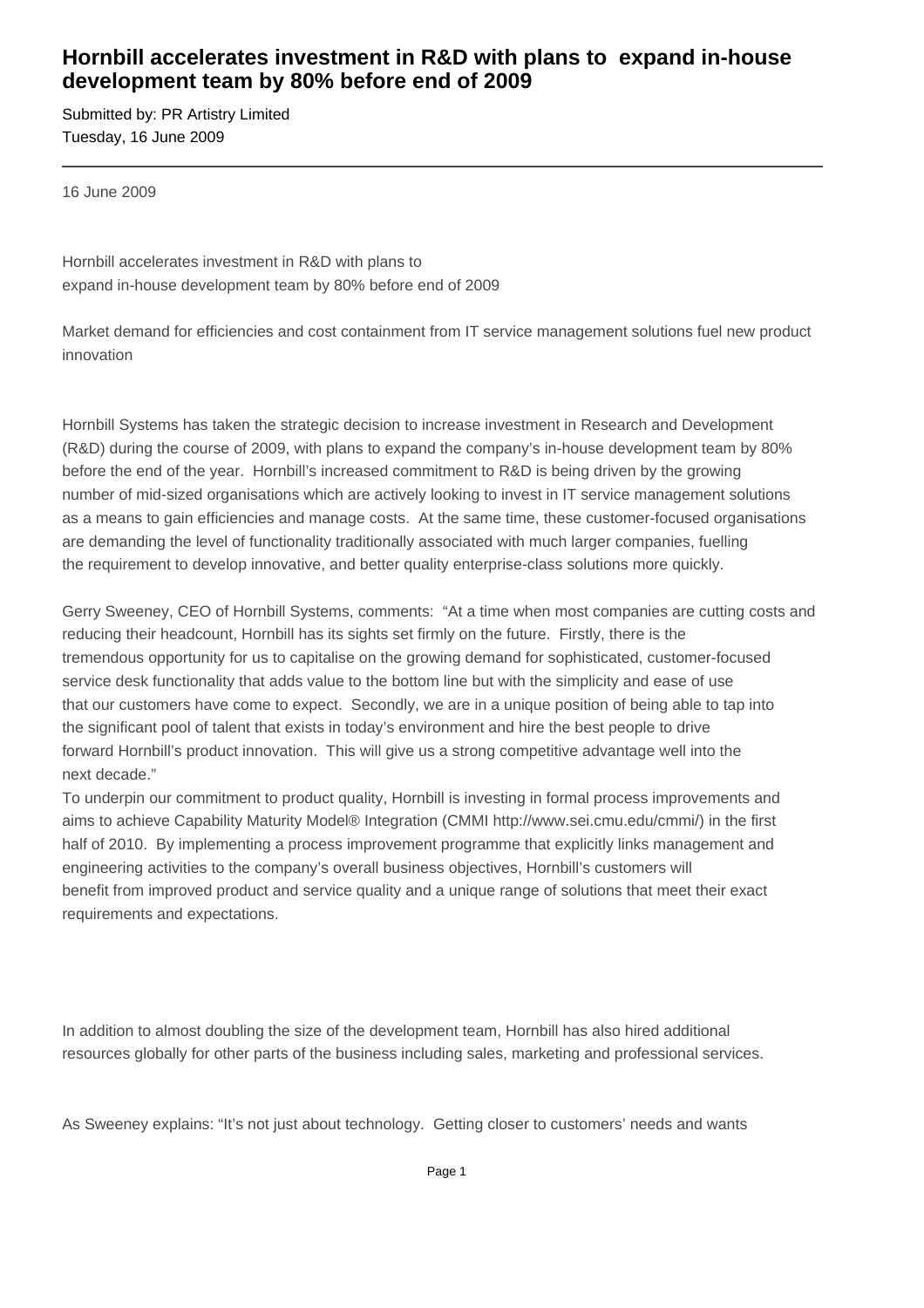## **Hornbill accelerates investment in R&D with plans to expand in-house development team by 80% before end of 2009**

Submitted by: PR Artistry Limited Tuesday, 16 June 2009

16 June 2009

Hornbill accelerates investment in R&D with plans to expand in-house development team by 80% before end of 2009

Market demand for efficiencies and cost containment from IT service management solutions fuel new product innovation

Hornbill Systems has taken the strategic decision to increase investment in Research and Development (R&D) during the course of 2009, with plans to expand the company's in-house development team by 80% before the end of the year. Hornbill's increased commitment to R&D is being driven by the growing number of mid-sized organisations which are actively looking to invest in IT service management solutions as a means to gain efficiencies and manage costs. At the same time, these customer-focused organisations are demanding the level of functionality traditionally associated with much larger companies, fuelling the requirement to develop innovative, and better quality enterprise-class solutions more quickly.

Gerry Sweeney, CEO of Hornbill Systems, comments: "At a time when most companies are cutting costs and reducing their headcount, Hornbill has its sights set firmly on the future. Firstly, there is the tremendous opportunity for us to capitalise on the growing demand for sophisticated, customer-focused service desk functionality that adds value to the bottom line but with the simplicity and ease of use that our customers have come to expect. Secondly, we are in a unique position of being able to tap into the significant pool of talent that exists in today's environment and hire the best people to drive forward Hornbill's product innovation. This will give us a strong competitive advantage well into the next decade."

To underpin our commitment to product quality, Hornbill is investing in formal process improvements and aims to achieve Capability Maturity Model® Integration (CMMI http://www.sei.cmu.edu/cmmi/) in the first half of 2010. By implementing a process improvement programme that explicitly links management and engineering activities to the company's overall business objectives, Hornbill's customers will benefit from improved product and service quality and a unique range of solutions that meet their exact requirements and expectations.

In addition to almost doubling the size of the development team, Hornbill has also hired additional resources globally for other parts of the business including sales, marketing and professional services.

As Sweeney explains: "It's not just about technology. Getting closer to customers' needs and wants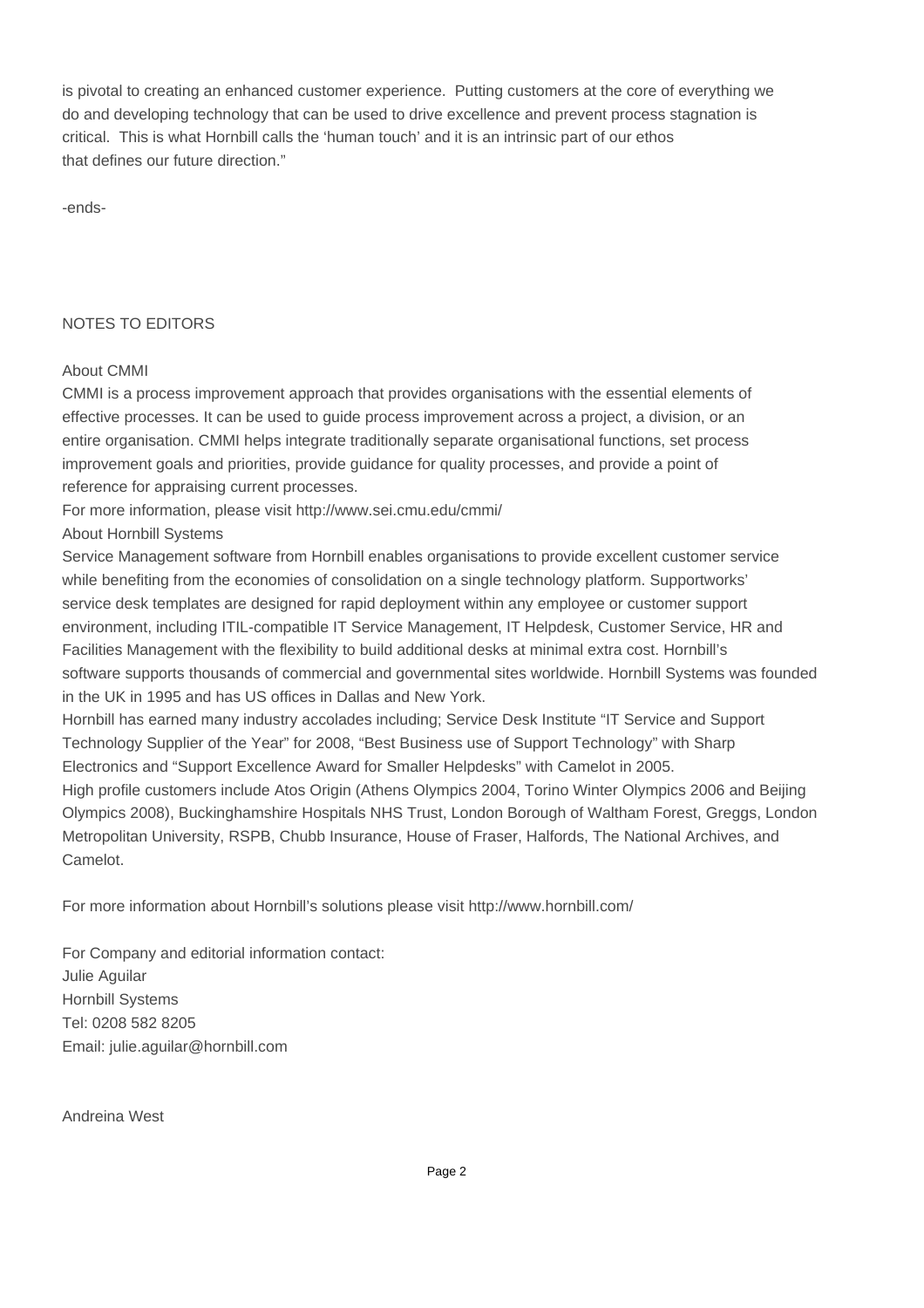is pivotal to creating an enhanced customer experience. Putting customers at the core of everything we do and developing technology that can be used to drive excellence and prevent process stagnation is critical. This is what Hornbill calls the 'human touch' and it is an intrinsic part of our ethos that defines our future direction."

-ends-

## NOTES TO EDITORS

## About CMMI

CMMI is a process improvement approach that provides organisations with the essential elements of effective processes. It can be used to guide process improvement across a project, a division, or an entire organisation. CMMI helps integrate traditionally separate organisational functions, set process improvement goals and priorities, provide guidance for quality processes, and provide a point of reference for appraising current processes.

For more information, please visit http://www.sei.cmu.edu/cmmi/

About Hornbill Systems

Service Management software from Hornbill enables organisations to provide excellent customer service while benefiting from the economies of consolidation on a single technology platform. Supportworks' service desk templates are designed for rapid deployment within any employee or customer support environment, including ITIL-compatible IT Service Management, IT Helpdesk, Customer Service, HR and Facilities Management with the flexibility to build additional desks at minimal extra cost. Hornbill's software supports thousands of commercial and governmental sites worldwide. Hornbill Systems was founded in the UK in 1995 and has US offices in Dallas and New York.

Hornbill has earned many industry accolades including; Service Desk Institute "IT Service and Support Technology Supplier of the Year" for 2008, "Best Business use of Support Technology" with Sharp Electronics and "Support Excellence Award for Smaller Helpdesks" with Camelot in 2005.

High profile customers include Atos Origin (Athens Olympics 2004, Torino Winter Olympics 2006 and Beijing Olympics 2008), Buckinghamshire Hospitals NHS Trust, London Borough of Waltham Forest, Greggs, London Metropolitan University, RSPB, Chubb Insurance, House of Fraser, Halfords, The National Archives, and Camelot.

For more information about Hornbill's solutions please visit http://www.hornbill.com/

For Company and editorial information contact: Julie Aguilar Hornbill Systems Tel: 0208 582 8205 Email: julie.aguilar@hornbill.com

Andreina West